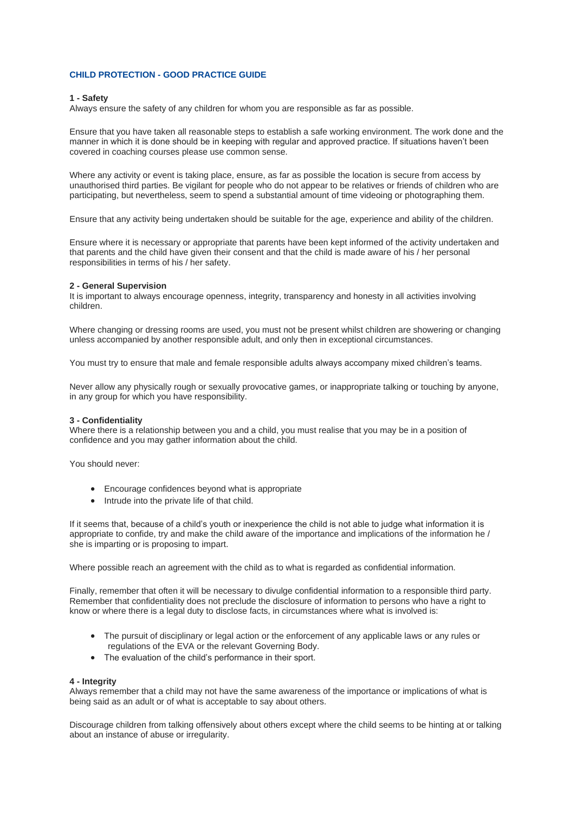# **CHILD PROTECTION - GOOD PRACTICE GUIDE**

# **1 - Safety**

Always ensure the safety of any children for whom you are responsible as far as possible.

Ensure that you have taken all reasonable steps to establish a safe working environment. The work done and the manner in which it is done should be in keeping with regular and approved practice. If situations haven't been covered in coaching courses please use common sense.

Where any activity or event is taking place, ensure, as far as possible the location is secure from access by unauthorised third parties. Be vigilant for people who do not appear to be relatives or friends of children who are participating, but nevertheless, seem to spend a substantial amount of time videoing or photographing them.

Ensure that any activity being undertaken should be suitable for the age, experience and ability of the children.

Ensure where it is necessary or appropriate that parents have been kept informed of the activity undertaken and that parents and the child have given their consent and that the child is made aware of his / her personal responsibilities in terms of his / her safety.

#### **2 - General Supervision**

It is important to always encourage openness, integrity, transparency and honesty in all activities involving children.

Where changing or dressing rooms are used, you must not be present whilst children are showering or changing unless accompanied by another responsible adult, and only then in exceptional circumstances.

You must try to ensure that male and female responsible adults always accompany mixed children's teams.

Never allow any physically rough or sexually provocative games, or inappropriate talking or touching by anyone, in any group for which you have responsibility.

#### **3 - Confidentiality**

Where there is a relationship between you and a child, you must realise that you may be in a position of confidence and you may gather information about the child.

You should never:

- Encourage confidences beyond what is appropriate
- Intrude into the private life of that child.

If it seems that, because of a child's youth or inexperience the child is not able to judge what information it is appropriate to confide, try and make the child aware of the importance and implications of the information he / she is imparting or is proposing to impart.

Where possible reach an agreement with the child as to what is regarded as confidential information.

Finally, remember that often it will be necessary to divulge confidential information to a responsible third party. Remember that confidentiality does not preclude the disclosure of information to persons who have a right to know or where there is a legal duty to disclose facts, in circumstances where what is involved is:

- The pursuit of disciplinary or legal action or the enforcement of any applicable laws or any rules or regulations of the EVA or the relevant Governing Body.
- The evaluation of the child's performance in their sport.

### **4 - Integrity**

Always remember that a child may not have the same awareness of the importance or implications of what is being said as an adult or of what is acceptable to say about others.

Discourage children from talking offensively about others except where the child seems to be hinting at or talking about an instance of abuse or irregularity.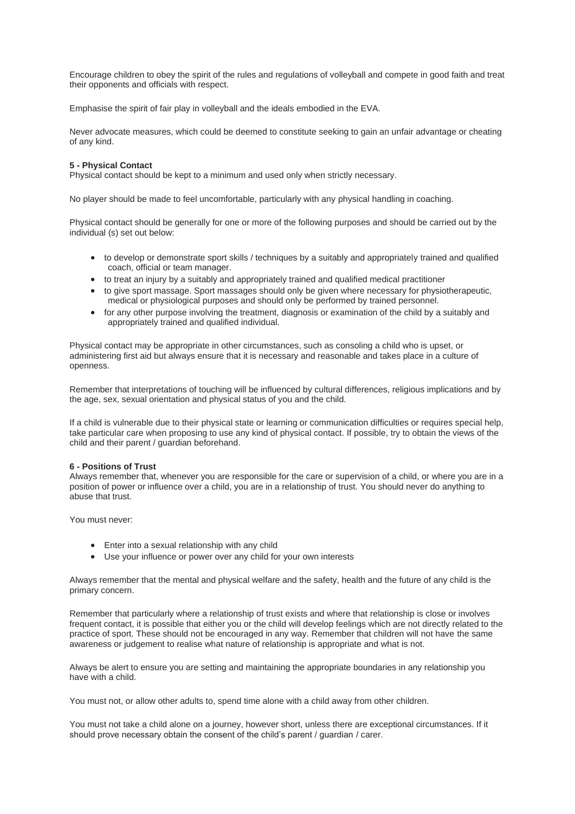Encourage children to obey the spirit of the rules and regulations of volleyball and compete in good faith and treat their opponents and officials with respect.

Emphasise the spirit of fair play in volleyball and the ideals embodied in the EVA.

Never advocate measures, which could be deemed to constitute seeking to gain an unfair advantage or cheating of any kind.

# **5 - Physical Contact**

Physical contact should be kept to a minimum and used only when strictly necessary.

No player should be made to feel uncomfortable, particularly with any physical handling in coaching.

Physical contact should be generally for one or more of the following purposes and should be carried out by the individual (s) set out below:

- to develop or demonstrate sport skills / techniques by a suitably and appropriately trained and qualified coach, official or team manager.
- to treat an injury by a suitably and appropriately trained and qualified medical practitioner
- to give sport massage. Sport massages should only be given where necessary for physiotherapeutic. medical or physiological purposes and should only be performed by trained personnel.
- for any other purpose involving the treatment, diagnosis or examination of the child by a suitably and appropriately trained and qualified individual.

Physical contact may be appropriate in other circumstances, such as consoling a child who is upset, or administering first aid but always ensure that it is necessary and reasonable and takes place in a culture of openness.

Remember that interpretations of touching will be influenced by cultural differences, religious implications and by the age, sex, sexual orientation and physical status of you and the child.

If a child is vulnerable due to their physical state or learning or communication difficulties or requires special help, take particular care when proposing to use any kind of physical contact. If possible, try to obtain the views of the child and their parent / guardian beforehand.

# **6 - Positions of Trust**

Always remember that, whenever you are responsible for the care or supervision of a child, or where you are in a position of power or influence over a child, you are in a relationship of trust. You should never do anything to abuse that trust.

You must never:

- Enter into a sexual relationship with any child
- Use your influence or power over any child for your own interests

Always remember that the mental and physical welfare and the safety, health and the future of any child is the primary concern.

Remember that particularly where a relationship of trust exists and where that relationship is close or involves frequent contact, it is possible that either you or the child will develop feelings which are not directly related to the practice of sport. These should not be encouraged in any way. Remember that children will not have the same awareness or judgement to realise what nature of relationship is appropriate and what is not.

Always be alert to ensure you are setting and maintaining the appropriate boundaries in any relationship you have with a child.

You must not, or allow other adults to, spend time alone with a child away from other children.

You must not take a child alone on a journey, however short, unless there are exceptional circumstances. If it should prove necessary obtain the consent of the child's parent / guardian / carer.